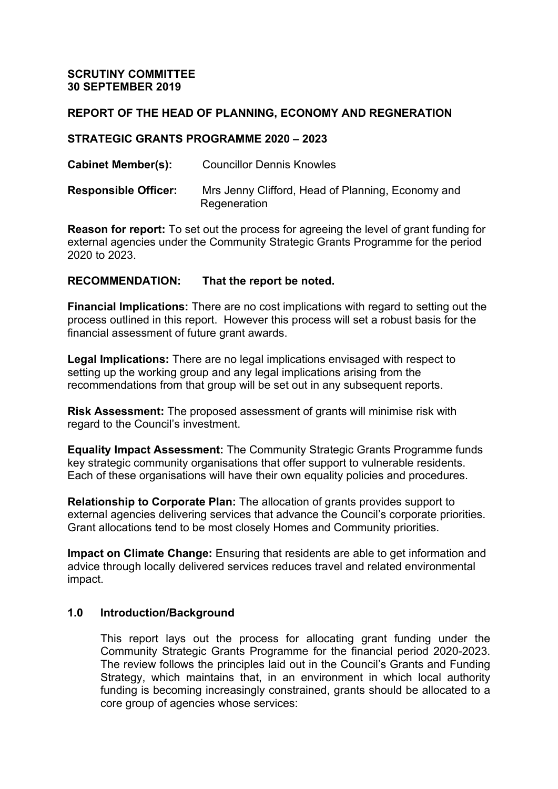## **REPORT OF THE HEAD OF PLANNING, ECONOMY AND REGNERATION**

#### **STRATEGIC GRANTS PROGRAMME 2020 – 2023**

**Cabinet Member(s):** Councillor Dennis Knowles

**Responsible Officer:** Mrs Jenny Clifford, Head of Planning, Economy and **Regeneration** 

**Reason for report:** To set out the process for agreeing the level of grant funding for external agencies under the Community Strategic Grants Programme for the period 2020 to 2023.

### **RECOMMENDATION: That the report be noted.**

**Financial Implications:** There are no cost implications with regard to setting out the process outlined in this report. However this process will set a robust basis for the financial assessment of future grant awards.

**Legal Implications:** There are no legal implications envisaged with respect to setting up the working group and any legal implications arising from the recommendations from that group will be set out in any subsequent reports.

**Risk Assessment:** The proposed assessment of grants will minimise risk with regard to the Council's investment.

**Equality Impact Assessment:** The Community Strategic Grants Programme funds key strategic community organisations that offer support to vulnerable residents. Each of these organisations will have their own equality policies and procedures.

**Relationship to Corporate Plan:** The allocation of grants provides support to external agencies delivering services that advance the Council's corporate priorities. Grant allocations tend to be most closely Homes and Community priorities.

**Impact on Climate Change:** Ensuring that residents are able to get information and advice through locally delivered services reduces travel and related environmental impact.

### **1.0 Introduction/Background**

This report lays out the process for allocating grant funding under the Community Strategic Grants Programme for the financial period 2020-2023. The review follows the principles laid out in the Council's Grants and Funding Strategy, which maintains that, in an environment in which local authority funding is becoming increasingly constrained, grants should be allocated to a core group of agencies whose services: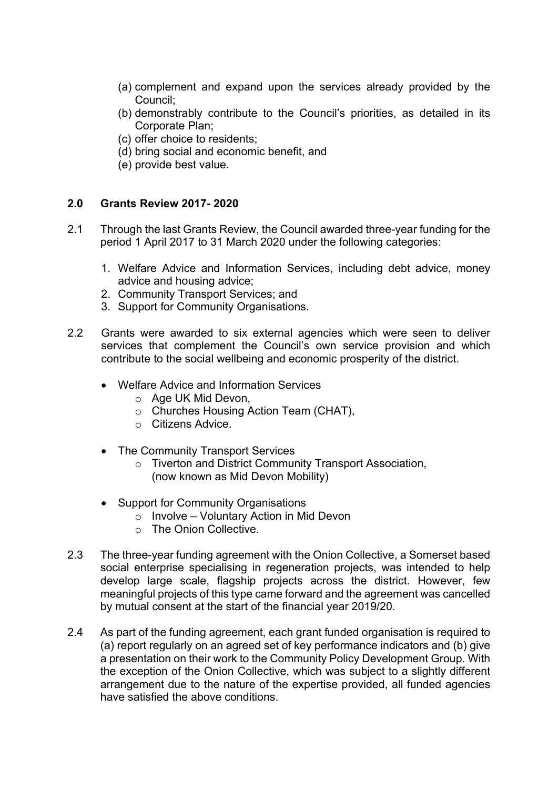- (a) complement and expand upon the services already provided by the Council;
- (b) demonstrably contribute to the Council's priorities, as detailed in its Corporate Plan;
- (c) offer choice to residents;
- (d) bring social and economic benefit, and
- (e) provide best value.

## **2.0 Grants Review 2017- 2020**

- 2.1 Through the last Grants Review, the Council awarded three-year funding for the period 1 April 2017 to 31 March 2020 under the following categories:
	- 1. Welfare Advice and Information Services, including debt advice, money advice and housing advice;
	- 2. Community Transport Services; and
	- 3. Support for Community Organisations.
- 2.2 Grants were awarded to six external agencies which were seen to deliver services that complement the Council's own service provision and which contribute to the social wellbeing and economic prosperity of the district.
	- Welfare Advice and Information Services
		- o Age UK Mid Devon,
		- o Churches Housing Action Team (CHAT),
		- o Citizens Advice.
	- The Community Transport Services
		- o Tiverton and District Community Transport Association, (now known as Mid Devon Mobility)
	- Support for Community Organisations
		- o Involve Voluntary Action in Mid Devon
		- o The Onion Collective.
- 2.3 The three-year funding agreement with the Onion Collective, a Somerset based social enterprise specialising in regeneration projects, was intended to help develop large scale, flagship projects across the district. However, few meaningful projects of this type came forward and the agreement was cancelled by mutual consent at the start of the financial year 2019/20.
- 2.4 As part of the funding agreement, each grant funded organisation is required to (a) report regularly on an agreed set of key performance indicators and (b) give a presentation on their work to the Community Policy Development Group. With the exception of the Onion Collective, which was subject to a slightly different arrangement due to the nature of the expertise provided, all funded agencies have satisfied the above conditions.